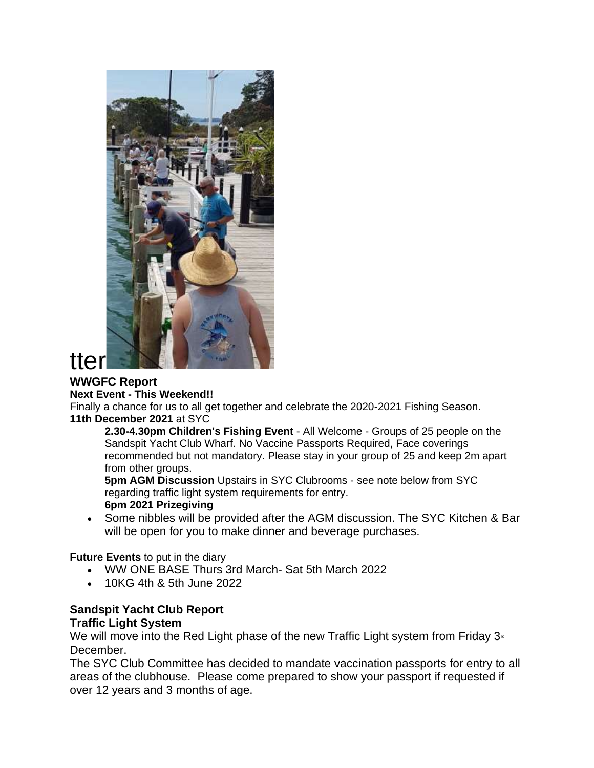

# **WWGFC Report**

#### **Next Event - This Weekend!!**

Finally a chance for us to all get together and celebrate the 2020-2021 Fishing Season. **11th December 2021** at SYC

**2.30-4.30pm Children's Fishing Event** - All Welcome - Groups of 25 people on the Sandspit Yacht Club Wharf. No Vaccine Passports Required, Face coverings recommended but not mandatory. Please stay in your group of 25 and keep 2m apart from other groups.

**5pm AGM Discussion** Upstairs in SYC Clubrooms - see note below from SYC regarding traffic light system requirements for entry. **6pm 2021 Prizegiving**

• Some nibbles will be provided after the AGM discussion. The SYC Kitchen & Bar will be open for you to make dinner and beverage purchases.

**Future Events** to put in the diary

- WW ONE BASE Thurs 3rd March- Sat 5th March 2022
- 10KG 4th & 5th June 2022

# **Sandspit Yacht Club Report**

## **Traffic Light System**

We will move into the Red Light phase of the new Traffic Light system from Friday  $3<sup>d</sup>$ December.

The SYC Club Committee has decided to mandate vaccination passports for entry to all areas of the clubhouse. Please come prepared to show your passport if requested if over 12 years and 3 months of age.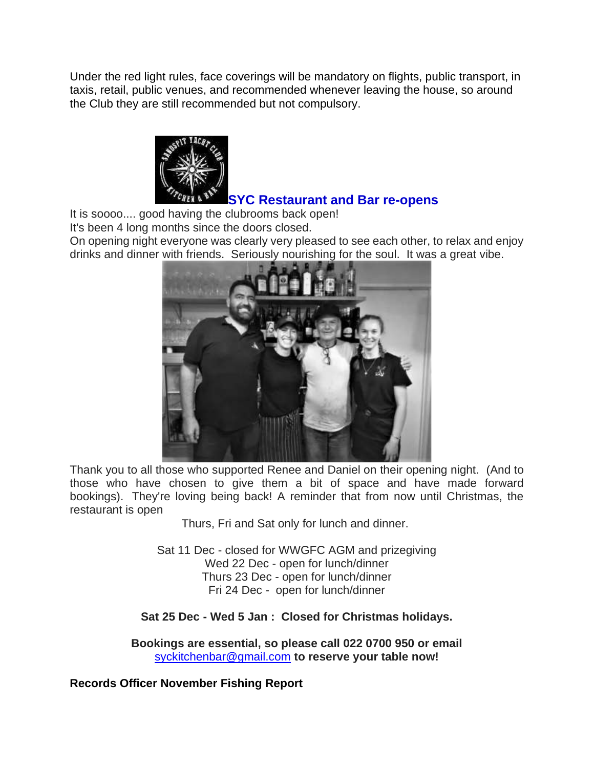Under the red light rules, face coverings will be mandatory on flights, public transport, in taxis, retail, public venues, and recommended whenever leaving the house, so around the Club they are still recommended but not compulsory.



It is soooo.... good having the clubrooms back open!

It's been 4 long months since the doors closed.

On opening night everyone was clearly very pleased to see each other, to relax and enjoy drinks and dinner with friends. Seriously nourishing for the soul. It was a great vibe.



Thank you to all those who supported Renee and Daniel on their opening night. (And to those who have chosen to give them a bit of space and have made forward bookings). They're loving being back! A reminder that from now until Christmas, the restaurant is open

Thurs, Fri and Sat only for lunch and dinner.

Sat 11 Dec - closed for WWGFC AGM and prizegiving Wed 22 Dec - open for lunch/dinner Thurs 23 Dec - open for lunch/dinner Fri 24 Dec - open for lunch/dinner

**Sat 25 Dec - Wed 5 Jan : Closed for Christmas holidays.**

**Bookings are essential, so please call 022 0700 950 or email** [syckitchenbar@gmail.com](mailto:syckitchenbar@gmail.com) **to reserve your table now!**

**Records Officer November Fishing Report**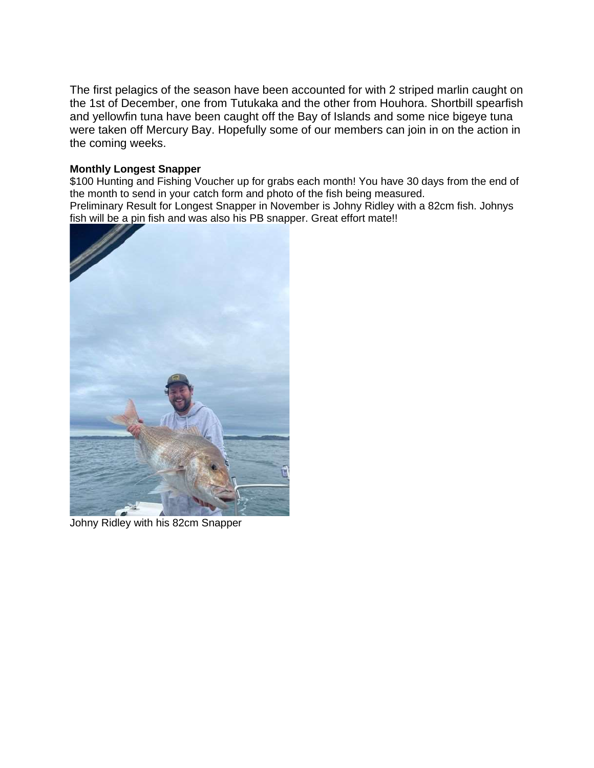The first pelagics of the season have been accounted for with 2 striped marlin caught on the 1st of December, one from Tutukaka and the other from Houhora. Shortbill spearfish and yellowfin tuna have been caught off the Bay of Islands and some nice bigeye tuna were taken off Mercury Bay. Hopefully some of our members can join in on the action in the coming weeks.

#### **Monthly Longest Snapper**

\$100 Hunting and Fishing Voucher up for grabs each month! You have 30 days from the end of the month to send in your catch form and photo of the fish being measured. Preliminary Result for Longest Snapper in November is Johny Ridley with a 82cm fish. Johnys fish will be a pin fish and was also his PB snapper. Great effort mate!!



Johny Ridley with his 82cm Snapper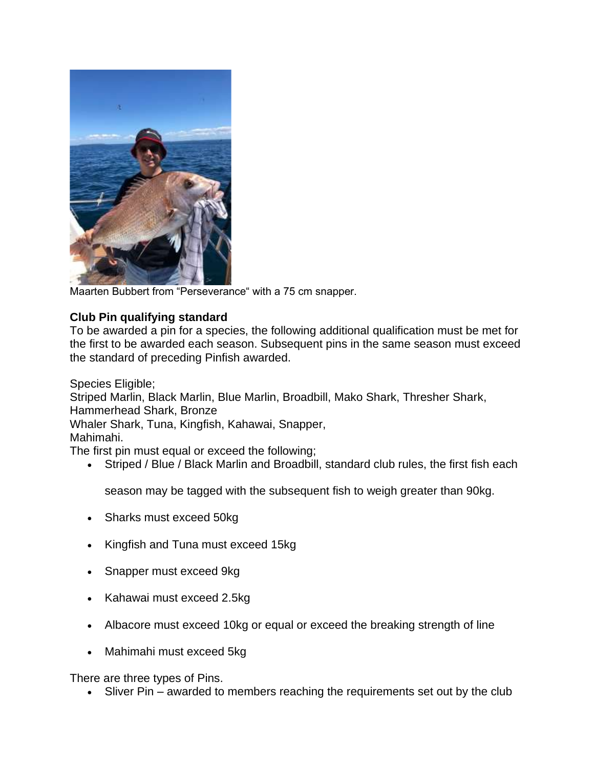

Maarten Bubbert from "Perseverance" with a 75 cm snapper.

### **Club Pin qualifying standard**

To be awarded a pin for a species, the following additional qualification must be met for the first to be awarded each season. Subsequent pins in the same season must exceed the standard of preceding Pinfish awarded.

Species Eligible;

Striped Marlin, Black Marlin, Blue Marlin, Broadbill, Mako Shark, Thresher Shark, Hammerhead Shark, Bronze

Whaler Shark, Tuna, Kingfish, Kahawai, Snapper,

Mahimahi.

The first pin must equal or exceed the following;

• Striped / Blue / Black Marlin and Broadbill, standard club rules, the first fish each

season may be tagged with the subsequent fish to weigh greater than 90kg.

- Sharks must exceed 50kg
- Kingfish and Tuna must exceed 15kg
- Snapper must exceed 9kg
- Kahawai must exceed 2.5kg
- Albacore must exceed 10kg or equal or exceed the breaking strength of line
- Mahimahi must exceed 5kg

There are three types of Pins.

• Sliver Pin – awarded to members reaching the requirements set out by the club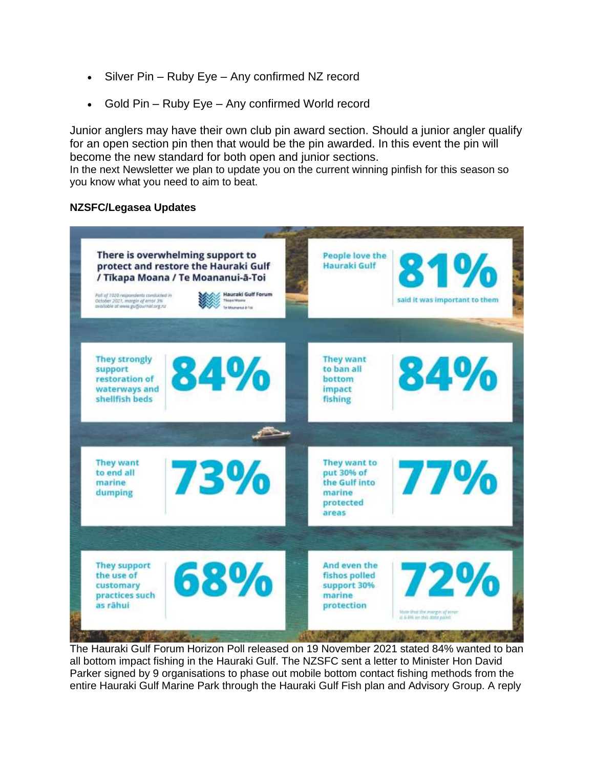- Silver Pin Ruby Eye Any confirmed NZ record
- Gold Pin Ruby Eye Any confirmed World record

Junior anglers may have their own club pin award section. Should a junior angler qualify for an open section pin then that would be the pin awarded. In this event the pin will become the new standard for both open and junior sections.

In the next Newsletter we plan to update you on the current winning pinfish for this season so you know what you need to aim to beat.

#### **NZSFC/Legasea Updates**



The Hauraki Gulf Forum Horizon Poll released on 19 November 2021 stated 84% wanted to ban all bottom impact fishing in the Hauraki Gulf. The NZSFC sent a letter to Minister Hon David Parker signed by 9 organisations to phase out mobile bottom contact fishing methods from the entire Hauraki Gulf Marine Park through the Hauraki Gulf Fish plan and Advisory Group. A reply